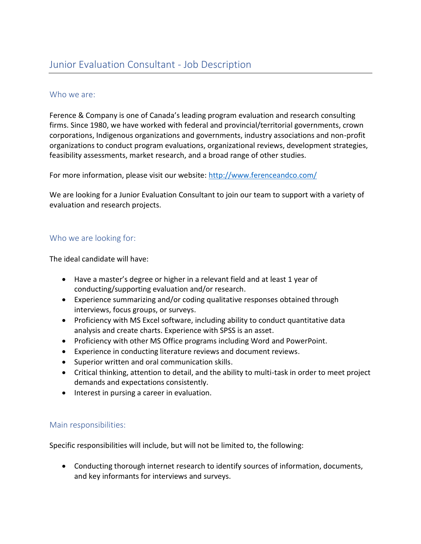### Who we are:

Ference & Company is one of Canada's leading program evaluation and research consulting firms. Since 1980, we have worked with federal and provincial/territorial governments, crown corporations, Indigenous organizations and governments, industry associations and non-profit organizations to conduct program evaluations, organizational reviews, development strategies, feasibility assessments, market research, and a broad range of other studies.

For more information, please visit our website:<http://www.ferenceandco.com/>

We are looking for a Junior Evaluation Consultant to join our team to support with a variety of evaluation and research projects.

## Who we are looking for:

The ideal candidate will have:

- Have a master's degree or higher in a relevant field and at least 1 year of conducting/supporting evaluation and/or research.
- Experience summarizing and/or coding qualitative responses obtained through interviews, focus groups, or surveys.
- Proficiency with MS Excel software, including ability to conduct quantitative data analysis and create charts. Experience with SPSS is an asset.
- Proficiency with other MS Office programs including Word and PowerPoint.
- Experience in conducting literature reviews and document reviews.
- Superior written and oral communication skills.
- Critical thinking, attention to detail, and the ability to multi-task in order to meet project demands and expectations consistently.
- Interest in pursing a career in evaluation.

#### Main responsibilities:

Specific responsibilities will include, but will not be limited to, the following:

• Conducting thorough internet research to identify sources of information, documents, and key informants for interviews and surveys.